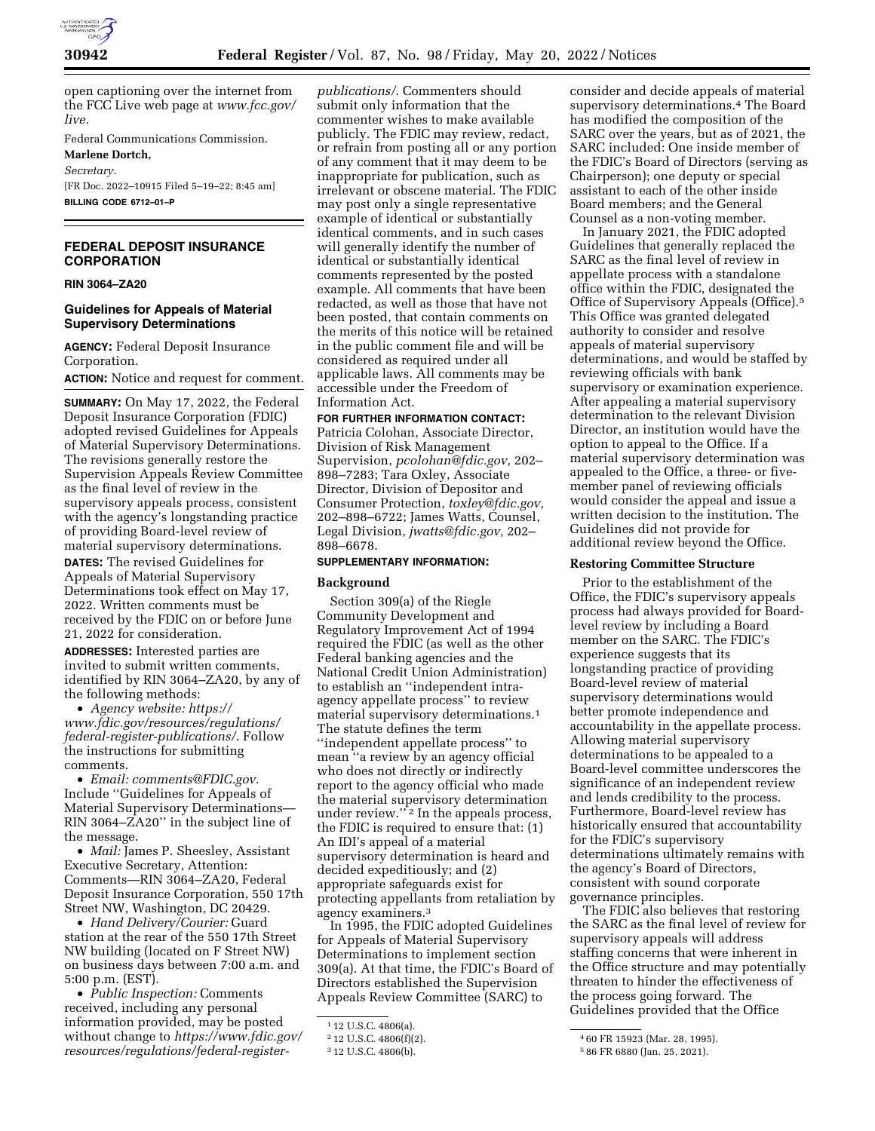

open captioning over the internet from the FCC Live web page at *[www.fcc.gov/](http://www.fcc.gov/live)  [live.](http://www.fcc.gov/live)* 

Federal Communications Commission.

**Marlene Dortch,**  *Secretary.* 

[FR Doc. 2022–10915 Filed 5–19–22; 8:45 am] **BILLING CODE 6712–01–P** 

# **FEDERAL DEPOSIT INSURANCE CORPORATION**

# **RIN 3064–ZA20**

# **Guidelines for Appeals of Material Supervisory Determinations**

**AGENCY:** Federal Deposit Insurance Corporation.

**ACTION:** Notice and request for comment.

**SUMMARY:** On May 17, 2022, the Federal Deposit Insurance Corporation (FDIC) adopted revised Guidelines for Appeals of Material Supervisory Determinations. The revisions generally restore the Supervision Appeals Review Committee as the final level of review in the supervisory appeals process, consistent with the agency's longstanding practice of providing Board-level review of material supervisory determinations.

**DATES:** The revised Guidelines for Appeals of Material Supervisory Determinations took effect on May 17, 2022. Written comments must be received by the FDIC on or before June 21, 2022 for consideration.

**ADDRESSES:** Interested parties are invited to submit written comments, identified by RIN 3064–ZA20, by any of the following methods:

• *Agency website: [https://](https://www.fdic.gov/resources/regulations/federal-register-publications/) [www.fdic.gov/resources/regulations/](https://www.fdic.gov/resources/regulations/federal-register-publications/) [federal-register-publications/](https://www.fdic.gov/resources/regulations/federal-register-publications/)*. Follow the instructions for submitting comments.

• *Email: [comments@FDIC.gov](mailto:comments@FDIC.gov)*. Include ''Guidelines for Appeals of Material Supervisory Determinations— RIN 3064–ZA20'' in the subject line of the message.

• *Mail:* James P. Sheesley, Assistant Executive Secretary, Attention: Comments—RIN 3064–ZA20, Federal Deposit Insurance Corporation, 550 17th Street NW, Washington, DC 20429.

• *Hand Delivery/Courier:* Guard station at the rear of the 550 17th Street NW building (located on F Street NW) on business days between 7:00 a.m. and 5:00 p.m. (EST).

• *Public Inspection:* Comments received, including any personal information provided, may be posted without change to *[https://www.fdic.gov/](https://www.fdic.gov/resources/regulations/federal-register-publications/)  [resources/regulations/federal-register-](https://www.fdic.gov/resources/regulations/federal-register-publications/)* *[publications/](https://www.fdic.gov/resources/regulations/federal-register-publications/)*. Commenters should submit only information that the commenter wishes to make available publicly. The FDIC may review, redact, or refrain from posting all or any portion of any comment that it may deem to be inappropriate for publication, such as irrelevant or obscene material. The FDIC may post only a single representative example of identical or substantially identical comments, and in such cases will generally identify the number of identical or substantially identical comments represented by the posted example. All comments that have been redacted, as well as those that have not been posted, that contain comments on the merits of this notice will be retained in the public comment file and will be considered as required under all applicable laws. All comments may be accessible under the Freedom of Information Act.

### **FOR FURTHER INFORMATION CONTACT:**

Patricia Colohan, Associate Director, Division of Risk Management Supervision, *[pcolohan@fdic.gov,](mailto:pcolohan@fdic.gov)* 202– 898–7283; Tara Oxley, Associate Director, Division of Depositor and Consumer Protection, *[toxley@fdic.gov,](mailto:toxley@fdic.gov)*  202–898–6722; James Watts, Counsel, Legal Division, *[jwatts@fdic.gov,](mailto:jwatts@fdic.gov)* 202– 898–6678.

#### **SUPPLEMENTARY INFORMATION:**

#### **Background**

Section 309(a) of the Riegle Community Development and Regulatory Improvement Act of 1994 required the FDIC (as well as the other Federal banking agencies and the National Credit Union Administration) to establish an ''independent intraagency appellate process'' to review material supervisory determinations.1 The statute defines the term ''independent appellate process'' to mean ''a review by an agency official who does not directly or indirectly report to the agency official who made the material supervisory determination under review.'' 2 In the appeals process, the FDIC is required to ensure that: (1) An IDI's appeal of a material supervisory determination is heard and decided expeditiously; and (2) appropriate safeguards exist for protecting appellants from retaliation by agency examiners.3

In 1995, the FDIC adopted Guidelines for Appeals of Material Supervisory Determinations to implement section 309(a). At that time, the FDIC's Board of Directors established the Supervision Appeals Review Committee (SARC) to

consider and decide appeals of material supervisory determinations.4 The Board has modified the composition of the SARC over the years, but as of 2021, the SARC included: One inside member of the FDIC's Board of Directors (serving as Chairperson); one deputy or special assistant to each of the other inside Board members; and the General Counsel as a non-voting member.

In January 2021, the FDIC adopted Guidelines that generally replaced the SARC as the final level of review in appellate process with a standalone office within the FDIC, designated the Office of Supervisory Appeals (Office).5 This Office was granted delegated authority to consider and resolve appeals of material supervisory determinations, and would be staffed by reviewing officials with bank supervisory or examination experience. After appealing a material supervisory determination to the relevant Division Director, an institution would have the option to appeal to the Office. If a material supervisory determination was appealed to the Office, a three- or fivemember panel of reviewing officials would consider the appeal and issue a written decision to the institution. The Guidelines did not provide for additional review beyond the Office.

# **Restoring Committee Structure**

Prior to the establishment of the Office, the FDIC's supervisory appeals process had always provided for Boardlevel review by including a Board member on the SARC. The FDIC's experience suggests that its longstanding practice of providing Board-level review of material supervisory determinations would better promote independence and accountability in the appellate process. Allowing material supervisory determinations to be appealed to a Board-level committee underscores the significance of an independent review and lends credibility to the process. Furthermore, Board-level review has historically ensured that accountability for the FDIC's supervisory determinations ultimately remains with the agency's Board of Directors, consistent with sound corporate governance principles.

The FDIC also believes that restoring the SARC as the final level of review for supervisory appeals will address staffing concerns that were inherent in the Office structure and may potentially threaten to hinder the effectiveness of the process going forward. The Guidelines provided that the Office

<sup>1</sup> 12 U.S.C. 4806(a).

<sup>2</sup> 12 U.S.C. 4806(f)(2).

<sup>3</sup> 12 U.S.C. 4806(b).

<sup>4</sup> 60 FR 15923 (Mar. 28, 1995).

<sup>5</sup> 86 FR 6880 (Jan. 25, 2021).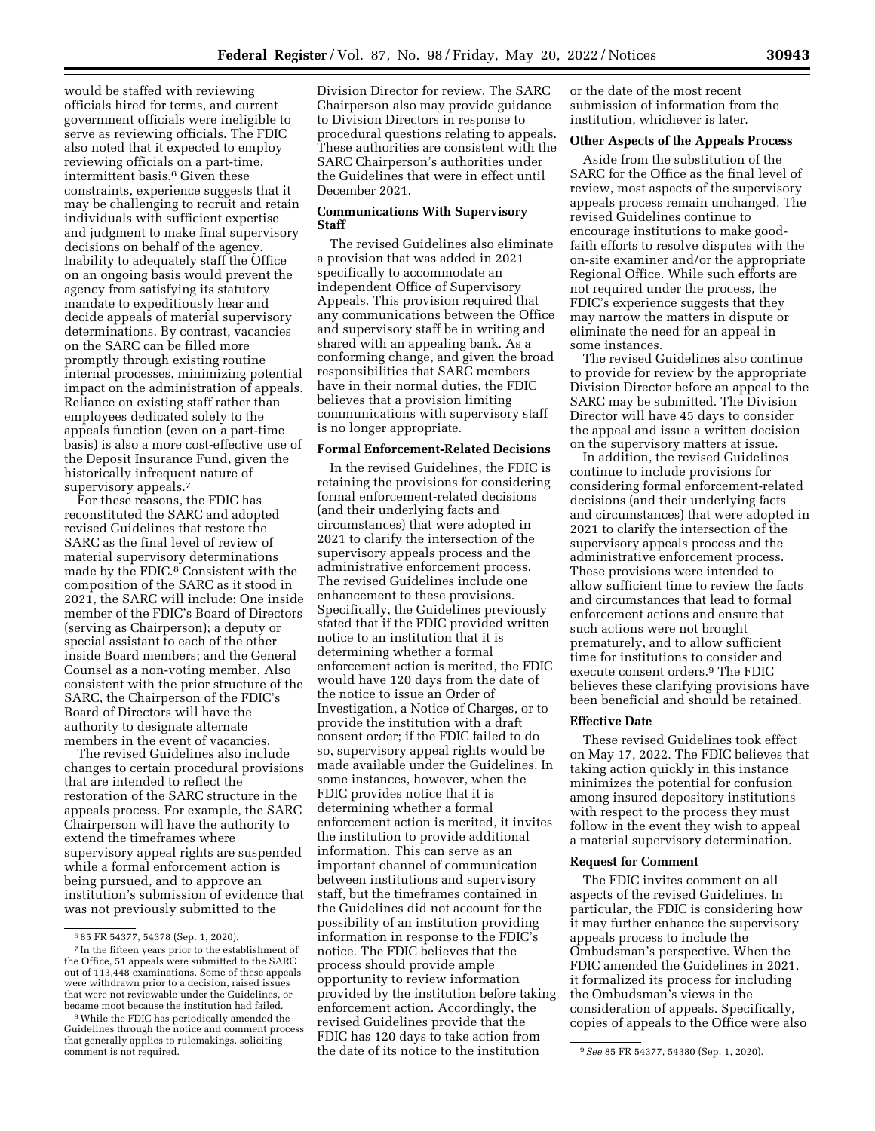would be staffed with reviewing officials hired for terms, and current government officials were ineligible to serve as reviewing officials. The FDIC also noted that it expected to employ reviewing officials on a part-time, intermittent basis.<sup>6</sup> Given these constraints, experience suggests that it may be challenging to recruit and retain individuals with sufficient expertise and judgment to make final supervisory decisions on behalf of the agency. Inability to adequately staff the Office on an ongoing basis would prevent the agency from satisfying its statutory mandate to expeditiously hear and decide appeals of material supervisory determinations. By contrast, vacancies on the SARC can be filled more promptly through existing routine internal processes, minimizing potential impact on the administration of appeals. Reliance on existing staff rather than employees dedicated solely to the appeals function (even on a part-time basis) is also a more cost-effective use of the Deposit Insurance Fund, given the historically infrequent nature of supervisory appeals.<sup>7</sup>

For these reasons, the FDIC has reconstituted the SARC and adopted revised Guidelines that restore the SARC as the final level of review of material supervisory determinations made by the FDIC.8 Consistent with the composition of the SARC as it stood in 2021, the SARC will include: One inside member of the FDIC's Board of Directors (serving as Chairperson); a deputy or special assistant to each of the other inside Board members; and the General Counsel as a non-voting member. Also consistent with the prior structure of the SARC, the Chairperson of the FDIC's Board of Directors will have the authority to designate alternate members in the event of vacancies.

The revised Guidelines also include changes to certain procedural provisions that are intended to reflect the restoration of the SARC structure in the appeals process. For example, the SARC Chairperson will have the authority to extend the timeframes where supervisory appeal rights are suspended while a formal enforcement action is being pursued, and to approve an institution's submission of evidence that was not previously submitted to the

Division Director for review. The SARC Chairperson also may provide guidance to Division Directors in response to procedural questions relating to appeals. These authorities are consistent with the SARC Chairperson's authorities under the Guidelines that were in effect until December 2021.

# **Communications With Supervisory Staff**

The revised Guidelines also eliminate a provision that was added in 2021 specifically to accommodate an independent Office of Supervisory Appeals. This provision required that any communications between the Office and supervisory staff be in writing and shared with an appealing bank. As a conforming change, and given the broad responsibilities that SARC members have in their normal duties, the FDIC believes that a provision limiting communications with supervisory staff is no longer appropriate.

### **Formal Enforcement-Related Decisions**

comment is not required. **9 1.2020**. **1.2020 1.3280** (Sep. 1, 2020). In the revised Guidelines, the FDIC is retaining the provisions for considering formal enforcement-related decisions (and their underlying facts and circumstances) that were adopted in 2021 to clarify the intersection of the supervisory appeals process and the administrative enforcement process. The revised Guidelines include one enhancement to these provisions. Specifically, the Guidelines previously stated that if the FDIC provided written notice to an institution that it is determining whether a formal enforcement action is merited, the FDIC would have 120 days from the date of the notice to issue an Order of Investigation, a Notice of Charges, or to provide the institution with a draft consent order; if the FDIC failed to do so, supervisory appeal rights would be made available under the Guidelines. In some instances, however, when the FDIC provides notice that it is determining whether a formal enforcement action is merited, it invites the institution to provide additional information. This can serve as an important channel of communication between institutions and supervisory staff, but the timeframes contained in the Guidelines did not account for the possibility of an institution providing information in response to the FDIC's notice. The FDIC believes that the process should provide ample opportunity to review information provided by the institution before taking enforcement action. Accordingly, the revised Guidelines provide that the FDIC has 120 days to take action from

or the date of the most recent submission of information from the institution, whichever is later.

# **Other Aspects of the Appeals Process**

Aside from the substitution of the SARC for the Office as the final level of review, most aspects of the supervisory appeals process remain unchanged. The revised Guidelines continue to encourage institutions to make goodfaith efforts to resolve disputes with the on-site examiner and/or the appropriate Regional Office. While such efforts are not required under the process, the FDIC's experience suggests that they may narrow the matters in dispute or eliminate the need for an appeal in some instances.

The revised Guidelines also continue to provide for review by the appropriate Division Director before an appeal to the SARC may be submitted. The Division Director will have 45 days to consider the appeal and issue a written decision on the supervisory matters at issue.

In addition, the revised Guidelines continue to include provisions for considering formal enforcement-related decisions (and their underlying facts and circumstances) that were adopted in 2021 to clarify the intersection of the supervisory appeals process and the administrative enforcement process. These provisions were intended to allow sufficient time to review the facts and circumstances that lead to formal enforcement actions and ensure that such actions were not brought prematurely, and to allow sufficient time for institutions to consider and execute consent orders.9 The FDIC believes these clarifying provisions have been beneficial and should be retained.

### **Effective Date**

These revised Guidelines took effect on May 17, 2022. The FDIC believes that taking action quickly in this instance minimizes the potential for confusion among insured depository institutions with respect to the process they must follow in the event they wish to appeal a material supervisory determination.

### **Request for Comment**

The FDIC invites comment on all aspects of the revised Guidelines. In particular, the FDIC is considering how it may further enhance the supervisory appeals process to include the Ombudsman's perspective. When the FDIC amended the Guidelines in 2021, it formalized its process for including the Ombudsman's views in the consideration of appeals. Specifically, copies of appeals to the Office were also

<sup>6</sup> 85 FR 54377, 54378 (Sep. 1, 2020).

<sup>7</sup> In the fifteen years prior to the establishment of the Office, 51 appeals were submitted to the SARC out of 113,448 examinations. Some of these appeals were withdrawn prior to a decision, raised issues that were not reviewable under the Guidelines, or<br>became moot because the institution had failed.

<sup>&</sup>lt;sup>8</sup> While the FDIC has periodically amended the Guidelines through the notice and comment process that generally applies to rulemakings, soliciting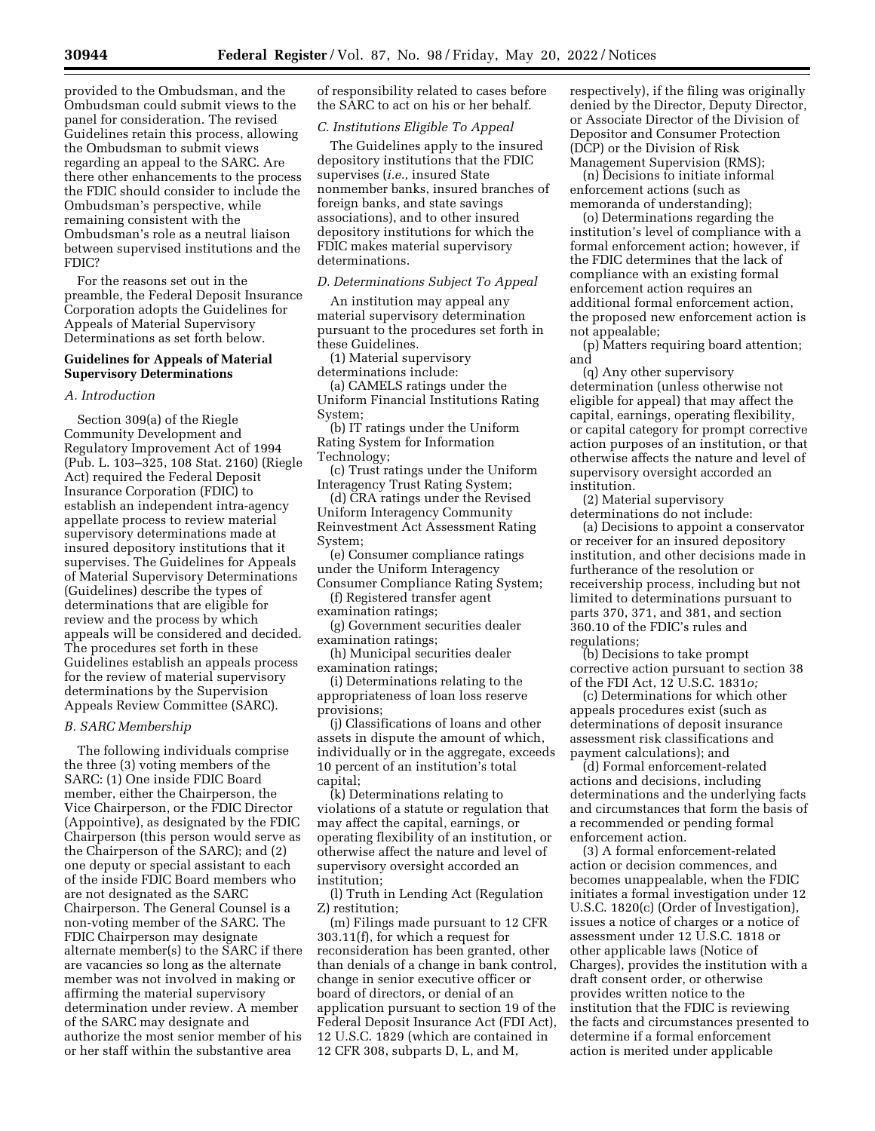provided to the Ombudsman, and the Ombudsman could submit views to the panel for consideration. The revised Guidelines retain this process, allowing the Ombudsman to submit views regarding an appeal to the SARC. Are there other enhancements to the process the FDIC should consider to include the Ombudsman's perspective, while remaining consistent with the Ombudsman's role as a neutral liaison between supervised institutions and the FDIC?

For the reasons set out in the preamble, the Federal Deposit Insurance Corporation adopts the Guidelines for Appeals of Material Supervisory Determinations as set forth below.

### **Guidelines for Appeals of Material Supervisory Determinations**

#### *A. Introduction*

Section 309(a) of the Riegle Community Development and Regulatory Improvement Act of 1994 (Pub. L. 103–325, 108 Stat. 2160) (Riegle Act) required the Federal Deposit Insurance Corporation (FDIC) to establish an independent intra-agency appellate process to review material supervisory determinations made at insured depository institutions that it supervises. The Guidelines for Appeals of Material Supervisory Determinations (Guidelines) describe the types of determinations that are eligible for review and the process by which appeals will be considered and decided. The procedures set forth in these Guidelines establish an appeals process for the review of material supervisory determinations by the Supervision Appeals Review Committee (SARC).

#### *B. SARC Membership*

The following individuals comprise the three (3) voting members of the SARC: (1) One inside FDIC Board member, either the Chairperson, the Vice Chairperson, or the FDIC Director (Appointive), as designated by the FDIC Chairperson (this person would serve as the Chairperson of the SARC); and (2) one deputy or special assistant to each of the inside FDIC Board members who are not designated as the SARC Chairperson. The General Counsel is a non-voting member of the SARC. The FDIC Chairperson may designate alternate member(s) to the SARC if there are vacancies so long as the alternate member was not involved in making or affirming the material supervisory determination under review. A member of the SARC may designate and authorize the most senior member of his or her staff within the substantive area

of responsibility related to cases before the SARC to act on his or her behalf.

#### *C. Institutions Eligible To Appeal*

The Guidelines apply to the insured depository institutions that the FDIC supervises (*i.e.,* insured State nonmember banks, insured branches of foreign banks, and state savings associations), and to other insured depository institutions for which the FDIC makes material supervisory determinations.

#### *D. Determinations Subject To Appeal*

An institution may appeal any material supervisory determination pursuant to the procedures set forth in these Guidelines.

(1) Material supervisory determinations include:

(a) CAMELS ratings under the Uniform Financial Institutions Rating System;

(b) IT ratings under the Uniform Rating System for Information Technology;

(c) Trust ratings under the Uniform Interagency Trust Rating System;

(d) CRA ratings under the Revised Uniform Interagency Community Reinvestment Act Assessment Rating System;

(e) Consumer compliance ratings under the Uniform Interagency Consumer Compliance Rating System;

(f) Registered transfer agent examination ratings;

(g) Government securities dealer examination ratings;

(h) Municipal securities dealer examination ratings;

(i) Determinations relating to the appropriateness of loan loss reserve provisions;

(j) Classifications of loans and other assets in dispute the amount of which, individually or in the aggregate, exceeds 10 percent of an institution's total capital;

(k) Determinations relating to violations of a statute or regulation that may affect the capital, earnings, or operating flexibility of an institution, or otherwise affect the nature and level of supervisory oversight accorded an institution;

(l) Truth in Lending Act (Regulation Z) restitution;

(m) Filings made pursuant to 12 CFR 303.11(f), for which a request for reconsideration has been granted, other than denials of a change in bank control, change in senior executive officer or board of directors, or denial of an application pursuant to section 19 of the Federal Deposit Insurance Act (FDI Act), 12 U.S.C. 1829 (which are contained in 12 CFR 308, subparts D, L, and M,

respectively), if the filing was originally denied by the Director, Deputy Director, or Associate Director of the Division of Depositor and Consumer Protection (DCP) or the Division of Risk Management Supervision (RMS);

(n) Decisions to initiate informal enforcement actions (such as memoranda of understanding);

(o) Determinations regarding the institution's level of compliance with a formal enforcement action; however, if the FDIC determines that the lack of compliance with an existing formal enforcement action requires an additional formal enforcement action, the proposed new enforcement action is not appealable;

(p) Matters requiring board attention; and

(q) Any other supervisory determination (unless otherwise not eligible for appeal) that may affect the capital, earnings, operating flexibility, or capital category for prompt corrective action purposes of an institution, or that otherwise affects the nature and level of supervisory oversight accorded an institution.

(2) Material supervisory determinations do not include:

(a) Decisions to appoint a conservator or receiver for an insured depository institution, and other decisions made in furtherance of the resolution or receivership process, including but not limited to determinations pursuant to parts 370, 371, and 381, and section 360.10 of the FDIC's rules and regulations;

(b) Decisions to take prompt corrective action pursuant to section 38 of the FDI Act, 12 U.S.C. 1831*o;* 

(c) Determinations for which other appeals procedures exist (such as determinations of deposit insurance assessment risk classifications and payment calculations); and

(d) Formal enforcement-related actions and decisions, including determinations and the underlying facts and circumstances that form the basis of a recommended or pending formal enforcement action.

(3) A formal enforcement-related action or decision commences, and becomes unappealable, when the FDIC initiates a formal investigation under 12 U.S.C. 1820(c) (Order of Investigation), issues a notice of charges or a notice of assessment under 12 U.S.C. 1818 or other applicable laws (Notice of Charges), provides the institution with a draft consent order, or otherwise provides written notice to the institution that the FDIC is reviewing the facts and circumstances presented to determine if a formal enforcement action is merited under applicable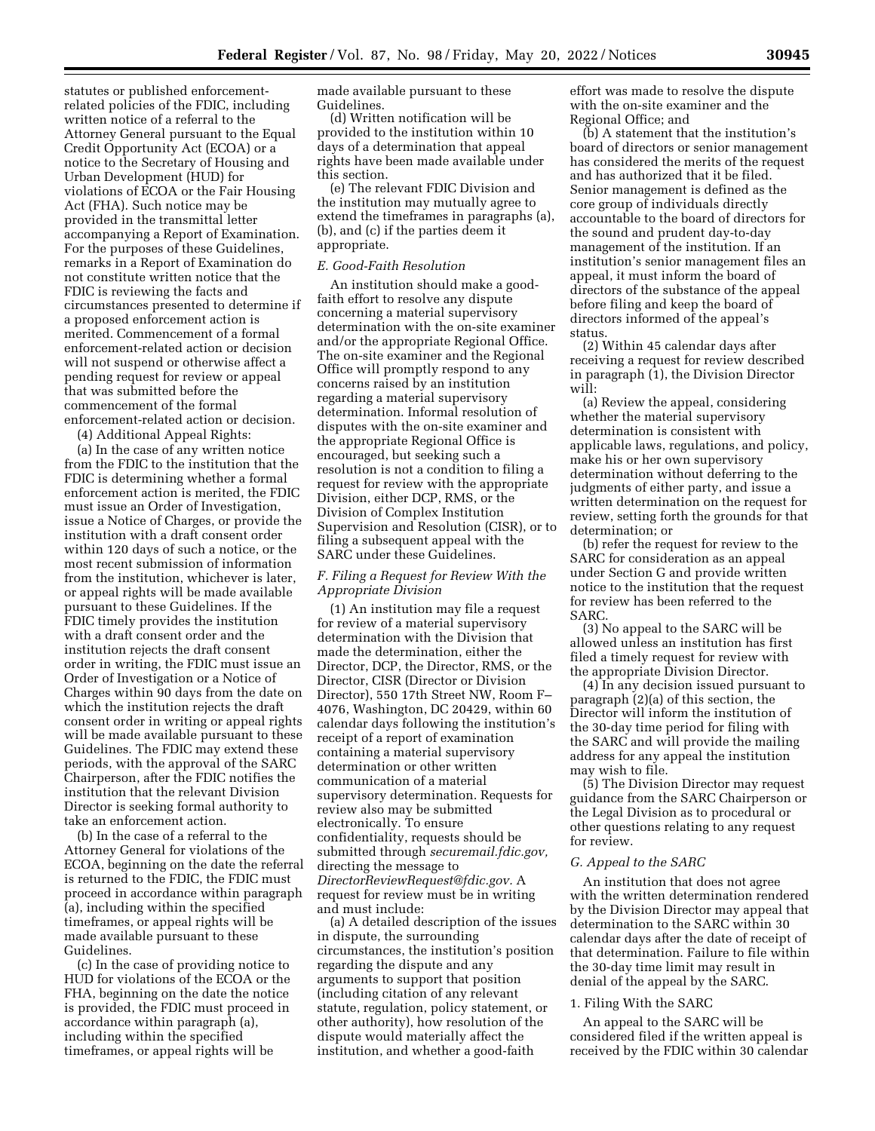statutes or published enforcementrelated policies of the FDIC, including written notice of a referral to the Attorney General pursuant to the Equal Credit Opportunity Act (ECOA) or a notice to the Secretary of Housing and Urban Development (HUD) for violations of ECOA or the Fair Housing Act (FHA). Such notice may be provided in the transmittal letter accompanying a Report of Examination. For the purposes of these Guidelines, remarks in a Report of Examination do not constitute written notice that the FDIC is reviewing the facts and circumstances presented to determine if a proposed enforcement action is merited. Commencement of a formal enforcement-related action or decision will not suspend or otherwise affect a pending request for review or appeal that was submitted before the commencement of the formal enforcement-related action or decision.

(4) Additional Appeal Rights:

(a) In the case of any written notice from the FDIC to the institution that the FDIC is determining whether a formal enforcement action is merited, the FDIC must issue an Order of Investigation, issue a Notice of Charges, or provide the institution with a draft consent order within 120 days of such a notice, or the most recent submission of information from the institution, whichever is later, or appeal rights will be made available pursuant to these Guidelines. If the FDIC timely provides the institution with a draft consent order and the institution rejects the draft consent order in writing, the FDIC must issue an Order of Investigation or a Notice of Charges within 90 days from the date on which the institution rejects the draft consent order in writing or appeal rights will be made available pursuant to these Guidelines. The FDIC may extend these periods, with the approval of the SARC Chairperson, after the FDIC notifies the institution that the relevant Division Director is seeking formal authority to take an enforcement action.

(b) In the case of a referral to the Attorney General for violations of the ECOA, beginning on the date the referral is returned to the FDIC, the FDIC must proceed in accordance within paragraph (a), including within the specified timeframes, or appeal rights will be made available pursuant to these Guidelines.

(c) In the case of providing notice to HUD for violations of the ECOA or the FHA, beginning on the date the notice is provided, the FDIC must proceed in accordance within paragraph (a), including within the specified timeframes, or appeal rights will be

made available pursuant to these Guidelines.

(d) Written notification will be provided to the institution within 10 days of a determination that appeal rights have been made available under this section.

(e) The relevant FDIC Division and the institution may mutually agree to extend the timeframes in paragraphs (a), (b), and (c) if the parties deem it appropriate.

# *E. Good-Faith Resolution*

An institution should make a goodfaith effort to resolve any dispute concerning a material supervisory determination with the on-site examiner and/or the appropriate Regional Office. The on-site examiner and the Regional Office will promptly respond to any concerns raised by an institution regarding a material supervisory determination. Informal resolution of disputes with the on-site examiner and the appropriate Regional Office is encouraged, but seeking such a resolution is not a condition to filing a request for review with the appropriate Division, either DCP, RMS, or the Division of Complex Institution Supervision and Resolution (CISR), or to filing a subsequent appeal with the SARC under these Guidelines.

# *F. Filing a Request for Review With the Appropriate Division*

(1) An institution may file a request for review of a material supervisory determination with the Division that made the determination, either the Director, DCP, the Director, RMS, or the Director, CISR (Director or Division Director), 550 17th Street NW, Room F– 4076, Washington, DC 20429, within 60 calendar days following the institution's receipt of a report of examination containing a material supervisory determination or other written communication of a material supervisory determination. Requests for review also may be submitted electronically. To ensure confidentiality, requests should be submitted through *securemail.fdic.gov,*  directing the message to *[DirectorReviewRequest@fdic.gov.](mailto:DirectorReviewRequest@fdic.gov)* A request for review must be in writing and must include:

(a) A detailed description of the issues in dispute, the surrounding circumstances, the institution's position regarding the dispute and any arguments to support that position (including citation of any relevant statute, regulation, policy statement, or other authority), how resolution of the dispute would materially affect the institution, and whether a good-faith

effort was made to resolve the dispute with the on-site examiner and the Regional Office; and

(b) A statement that the institution's board of directors or senior management has considered the merits of the request and has authorized that it be filed. Senior management is defined as the core group of individuals directly accountable to the board of directors for the sound and prudent day-to-day management of the institution. If an institution's senior management files an appeal, it must inform the board of directors of the substance of the appeal before filing and keep the board of directors informed of the appeal's status.

(2) Within 45 calendar days after receiving a request for review described in paragraph (1), the Division Director will:

(a) Review the appeal, considering whether the material supervisory determination is consistent with applicable laws, regulations, and policy, make his or her own supervisory determination without deferring to the judgments of either party, and issue a written determination on the request for review, setting forth the grounds for that determination; or

(b) refer the request for review to the SARC for consideration as an appeal under Section G and provide written notice to the institution that the request for review has been referred to the SARC.

(3) No appeal to the SARC will be allowed unless an institution has first filed a timely request for review with the appropriate Division Director.

(4) In any decision issued pursuant to paragraph (2)(a) of this section, the Director will inform the institution of the 30-day time period for filing with the SARC and will provide the mailing address for any appeal the institution may wish to file.

(5) The Division Director may request guidance from the SARC Chairperson or the Legal Division as to procedural or other questions relating to any request for review.

#### *G. Appeal to the SARC*

An institution that does not agree with the written determination rendered by the Division Director may appeal that determination to the SARC within 30 calendar days after the date of receipt of that determination. Failure to file within the 30-day time limit may result in denial of the appeal by the SARC.

# 1. Filing With the SARC

An appeal to the SARC will be considered filed if the written appeal is received by the FDIC within 30 calendar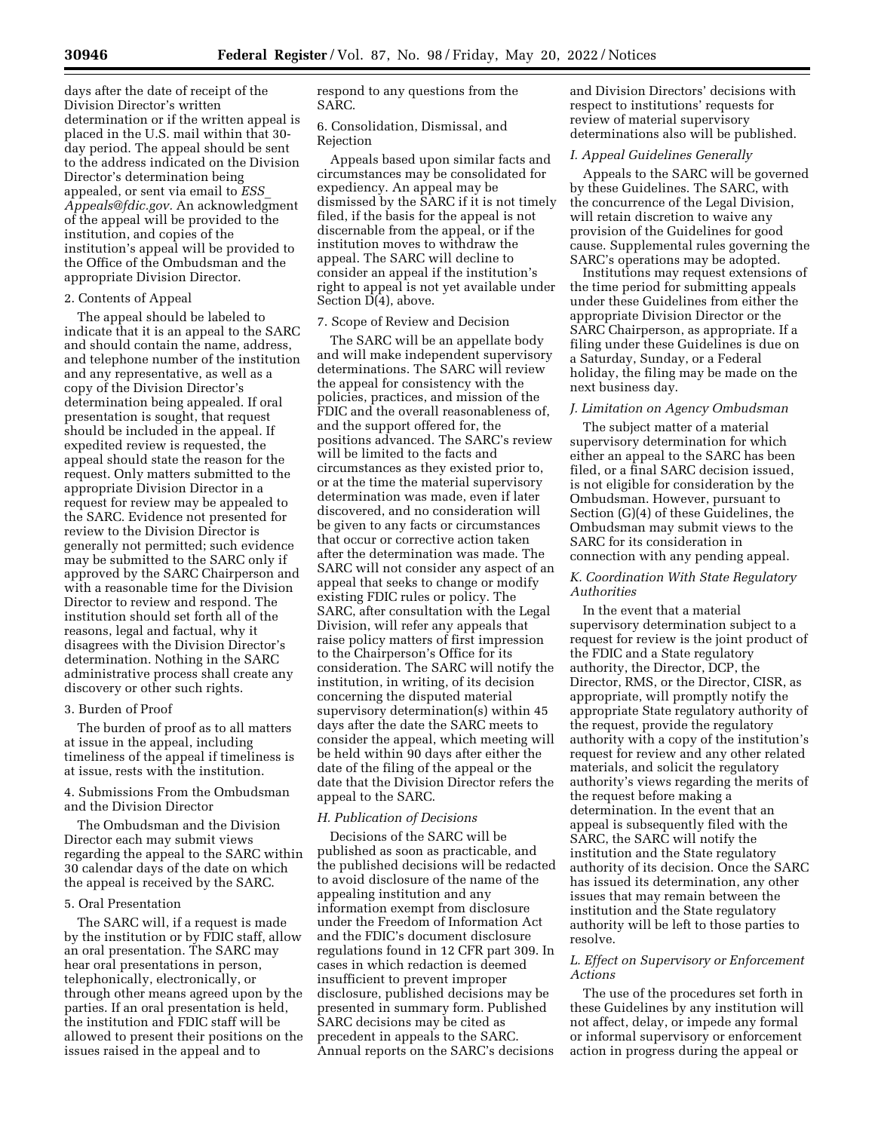days after the date of receipt of the Division Director's written determination or if the written appeal is placed in the U.S. mail within that 30 day period. The appeal should be sent to the address indicated on the Division Director's determination being appealed, or sent via email to *[ESS](mailto:ESS_Appeals@fdic.gov)*\_ *[Appeals@fdic.gov.](mailto:ESS_Appeals@fdic.gov)* An acknowledgment of the appeal will be provided to the institution, and copies of the institution's appeal will be provided to the Office of the Ombudsman and the appropriate Division Director.

#### 2. Contents of Appeal

The appeal should be labeled to indicate that it is an appeal to the SARC and should contain the name, address, and telephone number of the institution and any representative, as well as a copy of the Division Director's determination being appealed. If oral presentation is sought, that request should be included in the appeal. If expedited review is requested, the appeal should state the reason for the request. Only matters submitted to the appropriate Division Director in a request for review may be appealed to the SARC. Evidence not presented for review to the Division Director is generally not permitted; such evidence may be submitted to the SARC only if approved by the SARC Chairperson and with a reasonable time for the Division Director to review and respond. The institution should set forth all of the reasons, legal and factual, why it disagrees with the Division Director's determination. Nothing in the SARC administrative process shall create any discovery or other such rights.

#### 3. Burden of Proof

The burden of proof as to all matters at issue in the appeal, including timeliness of the appeal if timeliness is at issue, rests with the institution.

# 4. Submissions From the Ombudsman and the Division Director

The Ombudsman and the Division Director each may submit views regarding the appeal to the SARC within 30 calendar days of the date on which the appeal is received by the SARC.

# 5. Oral Presentation

The SARC will, if a request is made by the institution or by FDIC staff, allow an oral presentation. The SARC may hear oral presentations in person, telephonically, electronically, or through other means agreed upon by the parties. If an oral presentation is held, the institution and FDIC staff will be allowed to present their positions on the issues raised in the appeal and to

respond to any questions from the SARC.

#### 6. Consolidation, Dismissal, and Rejection

Appeals based upon similar facts and circumstances may be consolidated for expediency. An appeal may be dismissed by the SARC if it is not timely filed, if the basis for the appeal is not discernable from the appeal, or if the institution moves to withdraw the appeal. The SARC will decline to consider an appeal if the institution's right to appeal is not yet available under Section D(4), above.

# 7. Scope of Review and Decision

The SARC will be an appellate body and will make independent supervisory determinations. The SARC will review the appeal for consistency with the policies, practices, and mission of the FDIC and the overall reasonableness of, and the support offered for, the positions advanced. The SARC's review will be limited to the facts and circumstances as they existed prior to, or at the time the material supervisory determination was made, even if later discovered, and no consideration will be given to any facts or circumstances that occur or corrective action taken after the determination was made. The SARC will not consider any aspect of an appeal that seeks to change or modify existing FDIC rules or policy. The SARC, after consultation with the Legal Division, will refer any appeals that raise policy matters of first impression to the Chairperson's Office for its consideration. The SARC will notify the institution, in writing, of its decision concerning the disputed material supervisory determination(s) within 45 days after the date the SARC meets to consider the appeal, which meeting will be held within 90 days after either the date of the filing of the appeal or the date that the Division Director refers the appeal to the SARC.

# *H. Publication of Decisions*

Decisions of the SARC will be published as soon as practicable, and the published decisions will be redacted to avoid disclosure of the name of the appealing institution and any information exempt from disclosure under the Freedom of Information Act and the FDIC's document disclosure regulations found in 12 CFR part 309. In cases in which redaction is deemed insufficient to prevent improper disclosure, published decisions may be presented in summary form. Published SARC decisions may be cited as precedent in appeals to the SARC. Annual reports on the SARC's decisions

and Division Directors' decisions with respect to institutions' requests for review of material supervisory determinations also will be published.

# *I. Appeal Guidelines Generally*

Appeals to the SARC will be governed by these Guidelines. The SARC, with the concurrence of the Legal Division, will retain discretion to waive any provision of the Guidelines for good cause. Supplemental rules governing the SARC's operations may be adopted.

Institutions may request extensions of the time period for submitting appeals under these Guidelines from either the appropriate Division Director or the SARC Chairperson, as appropriate. If a filing under these Guidelines is due on a Saturday, Sunday, or a Federal holiday, the filing may be made on the next business day.

#### *J. Limitation on Agency Ombudsman*

The subject matter of a material supervisory determination for which either an appeal to the SARC has been filed, or a final SARC decision issued, is not eligible for consideration by the Ombudsman. However, pursuant to Section (G)(4) of these Guidelines, the Ombudsman may submit views to the SARC for its consideration in connection with any pending appeal.

# *K. Coordination With State Regulatory Authorities*

In the event that a material supervisory determination subject to a request for review is the joint product of the FDIC and a State regulatory authority, the Director, DCP, the Director, RMS, or the Director, CISR, as appropriate, will promptly notify the appropriate State regulatory authority of the request, provide the regulatory authority with a copy of the institution's request for review and any other related materials, and solicit the regulatory authority's views regarding the merits of the request before making a determination. In the event that an appeal is subsequently filed with the SARC, the SARC will notify the institution and the State regulatory authority of its decision. Once the SARC has issued its determination, any other issues that may remain between the institution and the State regulatory authority will be left to those parties to resolve.

# *L. Effect on Supervisory or Enforcement Actions*

The use of the procedures set forth in these Guidelines by any institution will not affect, delay, or impede any formal or informal supervisory or enforcement action in progress during the appeal or